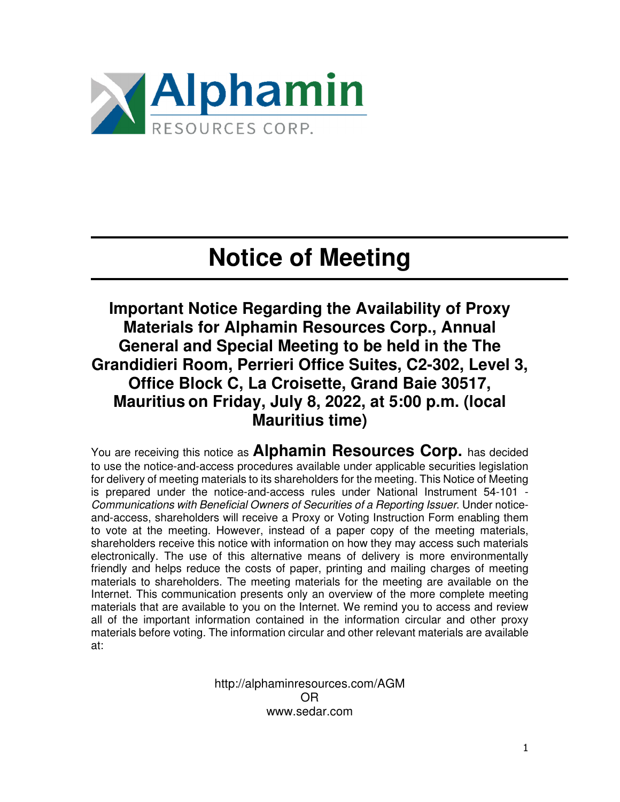

## **Notice of Meeting**

**Important Notice Regarding the Availability of Proxy Materials for Alphamin Resources Corp., Annual General and Special Meeting to be held in the The Grandidieri Room, Perrieri Office Suites, C2-302, Level 3, Office Block C, La Croisette, Grand Baie 30517, Mauritius on Friday, July 8, 2022, at 5:00 p.m. (local Mauritius time)** 

You are receiving this notice as **Alphamin Resources Corp.** has decided to use the notice-and-access procedures available under applicable securities legislation for delivery of meeting materials to its shareholders for the meeting. This Notice of Meeting is prepared under the notice-and-access rules under National Instrument 54-101 - Communications with Beneficial Owners of Securities of a Reporting Issuer. Under noticeand-access, shareholders will receive a Proxy or Voting Instruction Form enabling them to vote at the meeting. However, instead of a paper copy of the meeting materials, shareholders receive this notice with information on how they may access such materials electronically. The use of this alternative means of delivery is more environmentally friendly and helps reduce the costs of paper, printing and mailing charges of meeting materials to shareholders. The meeting materials for the meeting are available on the Internet. This communication presents only an overview of the more complete meeting materials that are available to you on the Internet. We remind you to access and review all of the important information contained in the information circular and other proxy materials before voting. The information circular and other relevant materials are available at:

> http://alphaminresources.com/AGM OR www.sedar.com